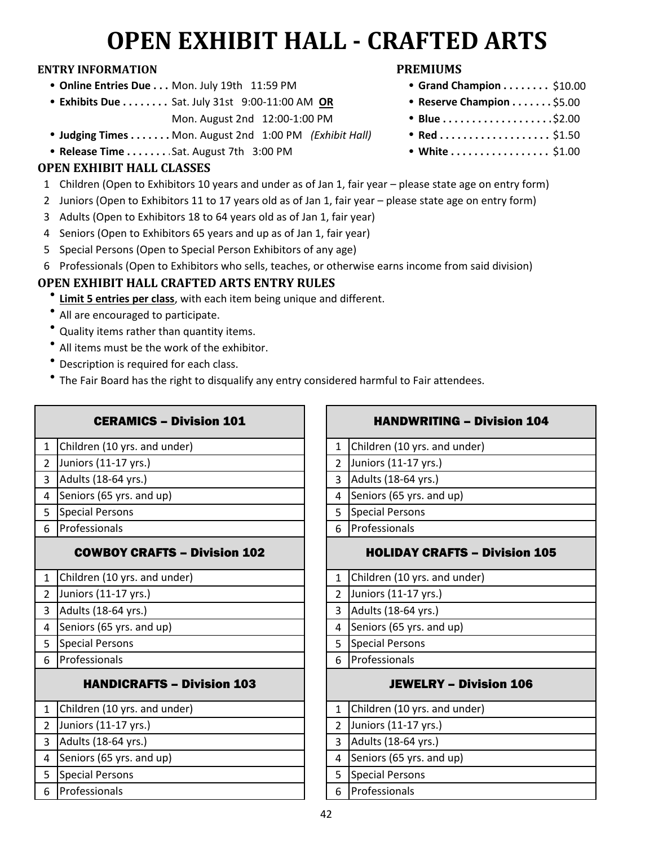# **OPEN EXHIBIT HALL - CRAFTED ARTS**

#### **ENTRY INFORMATION PREMIUMS**

- **Online Entries Due . . . Mon. July 19th 11:59 PM**
- **Exhibits Due . . . . . . . . Sat. July 31st 9:00-11:00 AM OR** Mon. August 2nd 12:00-1:00 PM
- **Judging Times . . . . . . . Mon. August 2nd 1:00 PM** *(Exhibit Hall)*
- **Release Time . . . . . . . . Sat. August 7th 3:00 PM**

### **OPEN EXHIBIT HALL CLASSES**

- 1 Children (Open to Exhibitors 10 years and under as of Jan 1, fair year please state age on entry form)
- 2 Juniors (Open to Exhibitors 11 to 17 years old as of Jan 1, fair year please state age on entry form)
- 3 Adults (Open to Exhibitors 18 to 64 years old as of Jan 1, fair year)
- 4 Seniors (Open to Exhibitors 65 years and up as of Jan 1, fair year)
- 5 Special Persons (Open to Special Person Exhibitors of any age)
- 6 Professionals (Open to Exhibitors who sells, teaches, or otherwise earns income from said division)

### **OPEN EXHIBIT HALL CRAFTED ARTS ENTRY RULES**

- **<u>Limit 5 entries per class</u>**, with each item being unique and different.
- All are encouraged to participate.
- Quality items rather than quantity items.
- $\bullet$ All items must be the work of the exhibitor.
- $\bullet$ Description is required for each class.
- $\bullet$ The Fair Board has the right to disqualify any entry considered harmful to Fair attendees.

| <b>CERAMICS - Division 101</b>         | <b>HANDWRITING - Division 104</b>    |
|----------------------------------------|--------------------------------------|
| Children (10 yrs. and under)           | Children (10 yrs. and under)         |
| $\mathbf{1}$                           | $\mathbf{1}$                         |
| 2 <sup>1</sup><br>Juniors (11-17 yrs.) | Juniors (11-17 yrs.)                 |
| Adults (18-64 yrs.)                    | Adults (18-64 yrs.)                  |
| $\overline{3}$                         | $\overline{3}$                       |
| Seniors (65 yrs. and up)               | Seniors (65 yrs. and up)             |
| 4                                      | 4                                    |
| Special Persons                        | Special Persons                      |
| 5                                      | 5                                    |
| Professionals                          | Professionals                        |
| 6                                      | 6                                    |
| <b>COWBOY CRAFTS - Division 102</b>    | <b>HOLIDAY CRAFTS - Division 105</b> |
| Children (10 yrs. and under)           | Children (10 yrs. and under)         |
| $\mathbf{1}$                           | $\mathbf{1}$                         |
| Juniors (11-17 yrs.)                   | Juniors (11-17 yrs.)                 |
| $\overline{2}$                         | $\overline{2}$                       |
| Adults (18-64 yrs.)                    | Adults (18-64 yrs.)                  |
| $\overline{3}$                         | 3                                    |
| Seniors (65 yrs. and up)               | Seniors (65 yrs. and up)             |
| 4                                      | 4                                    |
| <b>Special Persons</b>                 | <b>Special Persons</b>               |
| 5                                      | 5                                    |
| Professionals                          | Professionals                        |
| 6                                      | 6                                    |
| <b>HANDICRAFTS - Division 103</b>      | <b>JEWELRY - Division 106</b>        |
| Children (10 yrs. and under)           | Children (10 yrs. and under)         |
| $\mathbf{1}$                           | $\mathbf{1}$                         |
| Juniors (11-17 yrs.)                   | Juniors (11-17 yrs.)                 |
| $\overline{2}$                         | $\overline{2}$                       |
| Adults (18-64 yrs.)                    | Adults (18-64 yrs.)                  |
| 3                                      | 3                                    |
| Seniors (65 yrs. and up)               | Seniors (65 yrs. and up)             |
| $\overline{4}$                         | 4                                    |
| Special Persons                        | <b>Special Persons</b>               |
| 5                                      | 5                                    |
| Professionals                          | Professionals                        |
| 6                                      | 6                                    |

| <b>CERAMICS - Division 101</b>    | <b>HANDWRITING - Division 104</b>    |  |  |  |  |
|-----------------------------------|--------------------------------------|--|--|--|--|
| n (10 yrs. and under)             | Children (10 yrs. and under)<br>1    |  |  |  |  |
| $(11-17 \text{ yrs.})$            | Juniors (11-17 yrs.)                 |  |  |  |  |
| (18-64 yrs.)                      | Adults (18-64 yrs.)                  |  |  |  |  |
| $(65 \text{ yrs.}$ and up)        | Seniors (65 yrs. and up)             |  |  |  |  |
| Persons                           | <b>Special Persons</b><br>5          |  |  |  |  |
| ionals                            | Professionals                        |  |  |  |  |
| <b>WBOY CRAFTS – Division 102</b> | <b>HOLIDAY CRAFTS - Division 105</b> |  |  |  |  |
| n (10 yrs. and under)             | Children (10 yrs. and under)         |  |  |  |  |
| $(11-17 \text{ yrs.})$            | Juniors (11-17 yrs.)                 |  |  |  |  |
| (18-64 yrs.)                      | Adults (18-64 yrs.)                  |  |  |  |  |
| $(65 \text{ yrs.}$ and up)        | Seniors (65 yrs. and up)             |  |  |  |  |
| Persons                           | <b>Special Persons</b>               |  |  |  |  |
| ionals                            | Professionals                        |  |  |  |  |
| <b>ANDICRAFTS – Division 103</b>  | <b>JEWELRY - Division 106</b>        |  |  |  |  |

|               | 1 Children (10 yrs. and under) |
|---------------|--------------------------------|
| $\mathcal{L}$ | Juniors (11-17 yrs.)           |
| 3             | Adults (18-64 yrs.)            |
|               | Seniors (65 yrs. and up)       |
|               | <b>Special Persons</b>         |
|               | Professionals                  |

- $\bullet$  Grand Champion . . . . . . . . \$10.00 • Reserve Champion . . . . . . . \$5.00
- \$2.00
- $Red$ .................... \$1.50
- White ................. \$1.00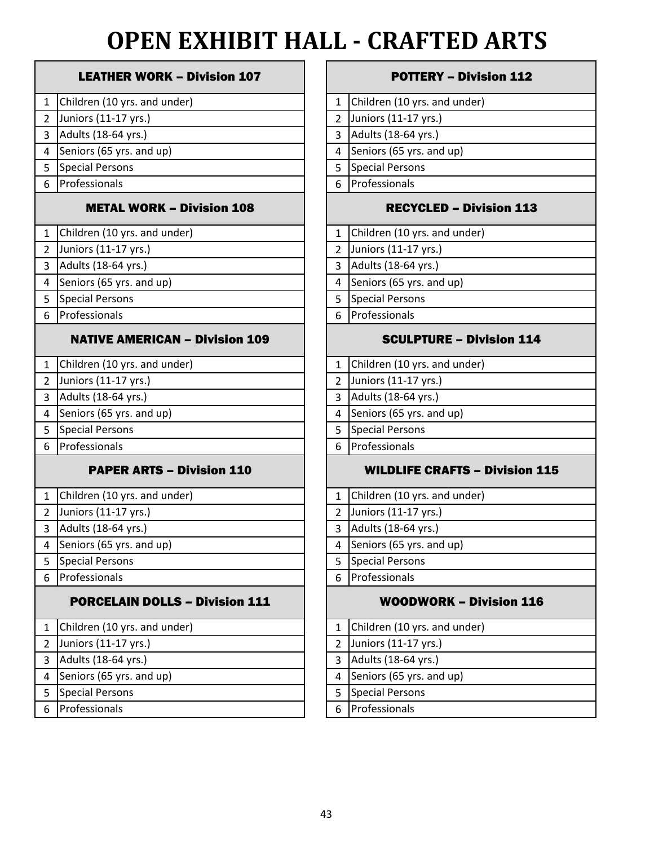# **OPEN EXHIBIT HALL - CRAFTED ARTS**

|                | <b>LEATHER WORK - Division 107</b>    |                         |
|----------------|---------------------------------------|-------------------------|
| 1              | Children (10 yrs. and under)          | 1                       |
| $\overline{2}$ | Juniors (11-17 yrs.)                  | $\overline{\mathbf{c}}$ |
| 3              | Adults (18-64 yrs.)                   | 3                       |
| 4              | Seniors (65 yrs. and up)              | 4                       |
| 5              | <b>Special Persons</b>                | 5                       |
| 6              | Professionals                         | 6                       |
|                | <b>METAL WORK - Division 108</b>      |                         |
| $\mathbf{1}$   | Children (10 yrs. and under)          | 1                       |
| $\overline{2}$ | Juniors (11-17 yrs.)                  | $\overline{\mathbf{c}}$ |
| 3              | Adults (18-64 yrs.)                   | 3                       |
| 4              | Seniors (65 yrs. and up)              | 4                       |
| 5              | <b>Special Persons</b>                | 5                       |
| 6              | Professionals                         | 6                       |
|                | <b>NATIVE AMERICAN - Division 109</b> |                         |
| 1              | Children (10 yrs. and under)          | 1                       |
| $\overline{2}$ | Juniors (11-17 yrs.)                  | $\overline{2}$          |
| 3              | Adults (18-64 yrs.)                   | 3                       |
| 4              | Seniors (65 yrs. and up)              | 4                       |
| 5              | <b>Special Persons</b>                | 5                       |
| 6              | Professionals                         | 6                       |
|                | <b>PAPER ARTS - Division 110</b>      |                         |
| $\mathbf{1}$   | Children (10 yrs. and under)          | $\mathbf{1}$            |
| $\overline{2}$ | Juniors (11-17 yrs.)                  | $\overline{c}$          |
| 3              | Adults (18-64 yrs.)                   | 3                       |
| 4              | Seniors (65 yrs. and up)              | 4                       |
| 5              | <b>Special Persons</b>                | 5                       |
| 6              | Professionals                         | 6                       |
|                | <b>PORCELAIN DOLLS - Division 111</b> |                         |
| $\mathbf{1}$   | Children (10 yrs. and under)          | 1                       |
| 2              | Juniors (11-17 yrs.)                  | $\overline{c}$          |
| 3              | Adults (18-64 yrs.)                   | 3                       |
| 4              | Seniors (65 yrs. and up)              | 4                       |
| 5              | <b>Special Persons</b>                | 5                       |
| 6              | Professionals                         | 6                       |

#### **POTTERY – Division 112**

|   | 1 Children (10 yrs. and under) |
|---|--------------------------------|
|   | 2 Juniors (11-17 yrs.)         |
| 3 | Adults (18-64 yrs.)            |
| 4 | Seniors (65 yrs. and up)       |
| 5 | <b>Special Persons</b>         |
|   | 6 Professionals                |

#### RECYCLED – Division 113

| 1 Children (10 yrs. and under) |
|--------------------------------|
|                                |

2 Juniors (11-17 yrs.)

3 Adults (18-64 yrs.)

4 Seniors (65 yrs. and up)

5 Special Persons

Professionals

### SCULPTURE – Division 114

|   | 1 Children (10 yrs. and under) |
|---|--------------------------------|
|   | Juniors (11-17 yrs.)           |
| 3 | Adults (18-64 yrs.)            |
| 4 | Seniors (65 yrs. and up)       |
|   | <b>Special Persons</b>         |
|   | Professionals                  |
|   |                                |

### WILDLIFE CRAFTS – Division 115

|                | 1 Children (10 yrs. and under) |
|----------------|--------------------------------|
|                | 2 Juniors (11-17 yrs.)         |
| 3              | Adults (18-64 yrs.)            |
|                | Seniors (65 yrs. and up)       |
| 5 <sup>1</sup> | <b>Special Persons</b>         |
|                | 6 Professionals                |
|                |                                |

### **WOODWORK – Division 116**

|   | 1 Children (10 yrs. and under)   |
|---|----------------------------------|
|   | 2 Juniors $(11-17 \text{ yrs.})$ |
| 3 | Adults (18-64 yrs.)              |
| 4 | Seniors (65 yrs. and up)         |
|   | <b>Special Persons</b>           |
|   | 6 Professionals                  |
|   |                                  |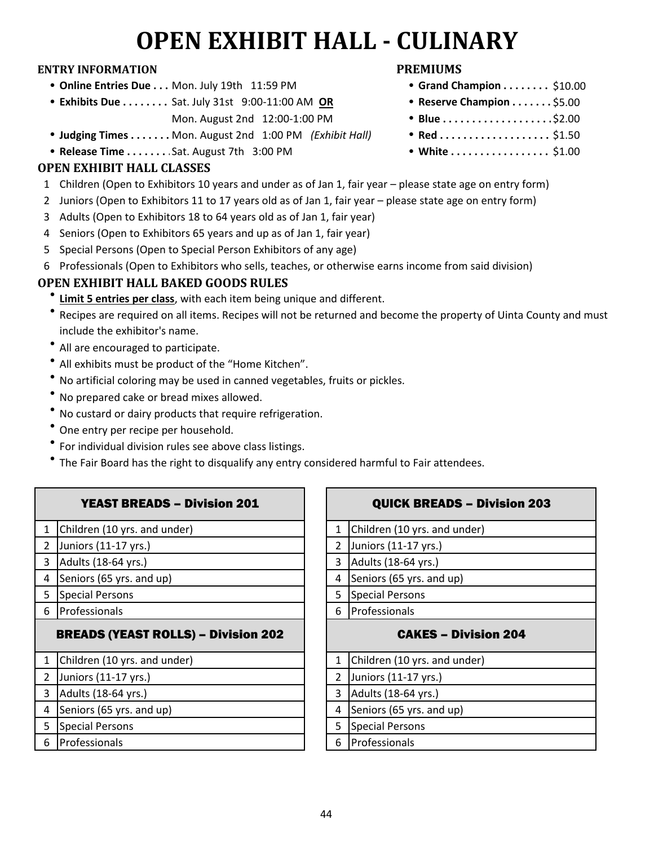# **OPEN EXHIBIT HALL - CULINARY**

#### **ENTRY INFORMATION PREMIUMS**

- **Online Entries Due . . . Mon. July 19th 11:59 PM**
- **Exhibits Due . . . . . . . . Sat. July 31st 9:00-11:00 AM OR** 
	- Mon. August 2nd 12:00-1:00 PM
- **Judging Times . . . . . . . Mon. August 2nd 1:00 PM** *(Exhibit Hall)*
- **Release Time . . . . . . . . Sat. August 7th 3:00 PM**

### **OPEN EXHIBIT HALL CLASSES**

- 1 Children (Open to Exhibitors 10 years and under as of Jan 1, fair year please state age on entry form)
- 2 Juniors (Open to Exhibitors 11 to 17 years old as of Jan 1, fair year please state age on entry form)
- 3 Adults (Open to Exhibitors 18 to 64 years old as of Jan 1, fair year)
- 4 Seniors (Open to Exhibitors 65 years and up as of Jan 1, fair year)
- 5 Special Persons (Open to Special Person Exhibitors of any age)
- 6 Professionals (Open to Exhibitors who sells, teaches, or otherwise earns income from said division)

## **OPEN EXHIBIT HALL BAKED GOODS RULES**

- **<u>Limit 5 entries per class</u>**, with each item being unique and different.
- Recipes are required on all items. Recipes will not be returned and become the property of Uinta County and must include the exhibitor's name.
- $\bullet$  All are encouraged to participate.
- $\bullet$  All exhibits must be product of the "Home Kitchen".
- No artificial coloring may be used in canned vegetables, fruits or pickles.
- <sup>l</sup> No prepared cake or bread mixes allowed.
- No custard or dairy products that require refrigeration.
- One entry per recipe per household.
- $\bullet$ For individual division rules see above class listings.

VEAST BDEADS – Division 201

• The Fair Board has the right to disqualify any entry considered harmful to Fair attendees.

|                | IEASI DNEADS – DIVISIVII 4V.               |                | QUICK BREADS - DIVISIUII     |
|----------------|--------------------------------------------|----------------|------------------------------|
| $\mathbf{1}$   | Children (10 yrs. and under)               | 1              | Children (10 yrs. and under) |
| $\overline{2}$ | Juniors (11-17 yrs.)                       | $\overline{2}$ | Juniors (11-17 yrs.)         |
| 3              | Adults (18-64 yrs.)                        | 3              | Adults (18-64 yrs.)          |
| 4              | Seniors (65 yrs. and up)                   | 4              | Seniors (65 yrs. and up)     |
| 5              | <b>Special Persons</b>                     | 5              | <b>Special Persons</b>       |
| 6              | Professionals                              | 6              | Professionals                |
|                |                                            |                |                              |
|                | <b>BREADS (YEAST ROLLS) - Division 202</b> |                | <b>CAKES - Division 204</b>  |
| 1              | Children (10 yrs. and under)               | 1              | Children (10 yrs. and under) |
| $\overline{2}$ | Juniors (11-17 yrs.)                       | $\overline{2}$ | Juniors (11-17 yrs.)         |
| 3              | Adults (18-64 yrs.)                        | 3              | Adults (18-64 yrs.)          |
| 4              | Seniors (65 yrs. and up)                   | 4              | Seniors (65 yrs. and up)     |
| 5              | <b>Special Persons</b>                     | 5              | <b>Special Persons</b>       |
| 6              | Professionals                              | 6              | Professionals                |

|                          | <b>QUICK BREADS - Division 203</b> |
|--------------------------|------------------------------------|
| $\mathbf{1}$             | Children (10 yrs. and under)       |
| $\overline{2}$           | Juniors (11-17 yrs.)               |
| 3                        | Adults (18-64 yrs.)                |
| 4                        | Seniors (65 yrs. and up)           |
| 5                        | <b>Special Persons</b>             |
| 6                        | Professionals                      |
|                          |                                    |
|                          | <b>CAKES - Division 204</b>        |
| $\mathbf{1}$             | Children (10 yrs. and under)       |
|                          | Juniors (11-17 yrs.)               |
| 3                        | Adults (18-64 yrs.)                |
| 4                        | Seniors (65 yrs. and up)           |
|                          | <b>Special Persons</b>             |
| $\overline{2}$<br>5<br>6 | Professionals                      |

- $\bullet$  Grand Champion . . . . . . . . \$10.00
- **Reserve Champion . . . . . . . \$5.00**
- \$2.00
- $Red$ .................... \$1.50
- White ................. \$1.00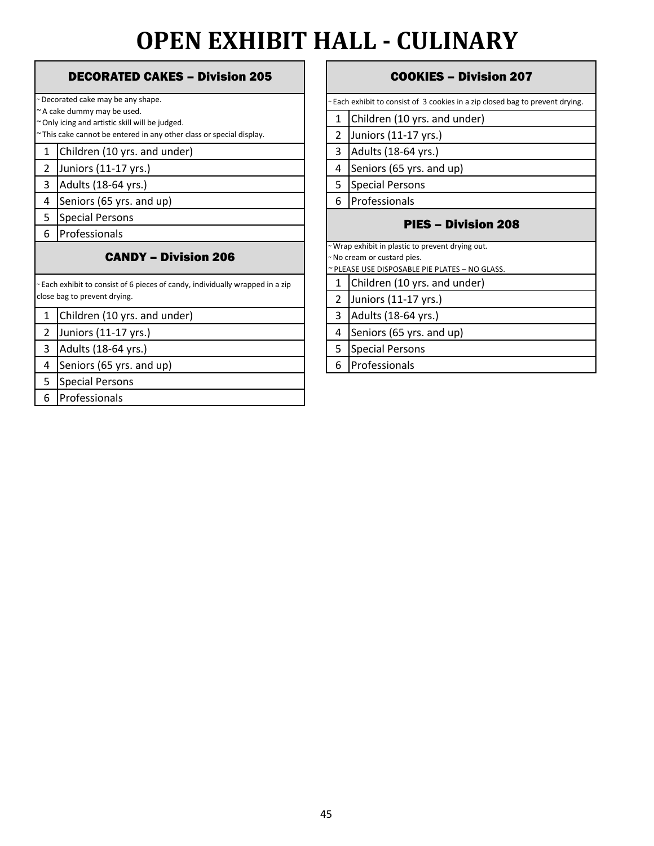# **OPEN EXHIBIT HALL - CULINARY**

|                | DECORATED CANES – DIVISION 205                                                |                                    |  |  |  |  |  |
|----------------|-------------------------------------------------------------------------------|------------------------------------|--|--|--|--|--|
|                | ~Decorated cake may be any shape.                                             |                                    |  |  |  |  |  |
|                | ~ A cake dummy may be used.                                                   |                                    |  |  |  |  |  |
|                | ~ Only icing and artistic skill will be judged.                               | 1                                  |  |  |  |  |  |
|                | ~This cake cannot be entered in any other class or special display.           | $\overline{c}$                     |  |  |  |  |  |
| $\mathbf{1}$   | Children (10 yrs. and under)                                                  | 3                                  |  |  |  |  |  |
| 2              | Juniors (11-17 yrs.)                                                          | 4                                  |  |  |  |  |  |
| 3              | Adults (18-64 yrs.)                                                           | 5                                  |  |  |  |  |  |
| 4              | Seniors (65 yrs. and up)                                                      | 6                                  |  |  |  |  |  |
| 5              | <b>Special Persons</b>                                                        |                                    |  |  |  |  |  |
| 6              | Professionals                                                                 |                                    |  |  |  |  |  |
|                | <b>CANDY - Division 206</b>                                                   | $\sim$ W<br>$\sim$ Nc<br>$\sim$ PL |  |  |  |  |  |
|                | ~ Each exhibit to consist of 6 pieces of candy, individually wrapped in a zip | $\mathbf{1}$                       |  |  |  |  |  |
|                | close bag to prevent drying.                                                  | $\overline{2}$                     |  |  |  |  |  |
| $\mathbf{1}$   | Children (10 yrs. and under)                                                  | 3                                  |  |  |  |  |  |
| $\overline{2}$ | Juniors (11-17 yrs.)                                                          | 4                                  |  |  |  |  |  |
| 3              | Adults (18-64 yrs.)                                                           | 5                                  |  |  |  |  |  |
| 4              | Seniors (65 yrs. and up)                                                      | 6                                  |  |  |  |  |  |
| 5              | <b>Special Persons</b>                                                        |                                    |  |  |  |  |  |
| 6              | Professionals                                                                 |                                    |  |  |  |  |  |
|                |                                                                               |                                    |  |  |  |  |  |

### RATED CAKES – Division 205 | COOKIES – Division 207

|                            | ~ Each exhibit to consist of 3 cookies in a zip closed bag to prevent drying. |  |
|----------------------------|-------------------------------------------------------------------------------|--|
| 1                          | Children (10 yrs. and under)                                                  |  |
| 2                          | Juniors (11-17 yrs.)                                                          |  |
| 3                          | Adults (18-64 yrs.)                                                           |  |
| 4                          | Seniors (65 yrs. and up)                                                      |  |
| 5                          | <b>Special Persons</b>                                                        |  |
| 6                          | Professionals                                                                 |  |
| <b>PIES – Division 208</b> |                                                                               |  |
|                            | ~ Wrap exhibit in plastic to prevent drying out.                              |  |
|                            | ~ No cream or custard pies.                                                   |  |
|                            | ~ PLEASE USE DISPOSABLE PIE PLATES - NO GLASS.                                |  |
| $\mathbf{1}$               | Children (10 yrs. and under)                                                  |  |
| 2                          | Juniors (11-17 yrs.)                                                          |  |
| 3                          | Adults (18-64 yrs.)                                                           |  |
| 4                          | Seniors (65 yrs. and up)                                                      |  |
| 5                          | <b>Special Persons</b>                                                        |  |
| 6                          | Professionals                                                                 |  |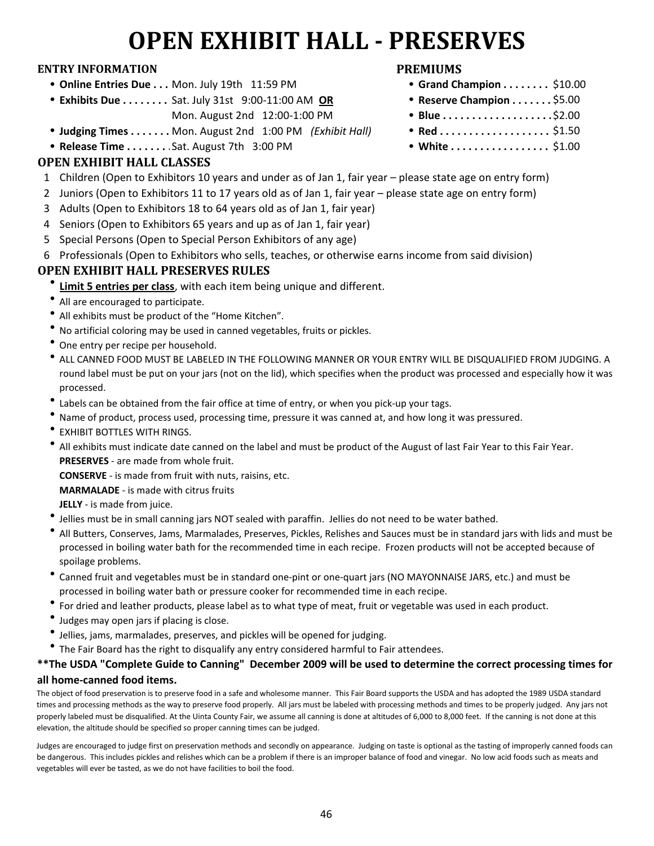## **OPEN EXHIBIT HALL - PRESERVES**

#### **ENTRY INFORMATION PREMIUMS**

- Online Entries Due . . . Mon. July 19th 11:59 PM
- Exhibits Due . . . . . . . . Sat. July 31st 9:00-11:00 AM OR Mon. August 2nd 12:00-1:00 PM
- **Judging Times . . . . . . . Mon. August 2nd 1:00 PM** *(Exhibit Hall)*
- **Release Time . . . . . . . . Sat. August 7th 3:00 PM**

#### **OPEN EXHIBIT HALL CLASSES**

- 1 Children (Open to Exhibitors 10 years and under as of Jan 1, fair year please state age on entry form)
- 2 Juniors (Open to Exhibitors 11 to 17 years old as of Jan 1, fair year please state age on entry form)
- 3 Adults (Open to Exhibitors 18 to 64 years old as of Jan 1, fair year)
- 4 Seniors (Open to Exhibitors 65 years and up as of Jan 1, fair year)
- 5 Special Persons (Open to Special Person Exhibitors of any age)
- 6 Professionals (Open to Exhibitors who sells, teaches, or otherwise earns income from said division)

#### **OPEN EXHIBIT HALL PRESERVES RULES**

- **<u>Limit 5 entries per class</u>**, with each item being unique and different.
- All are encouraged to participate.
- All exhibits must be product of the "Home Kitchen".
- No artificial coloring may be used in canned vegetables, fruits or pickles.
- One entry per recipe per household.
- $\bullet$  ALL CANNED FOOD MUST BE LABELED IN THE FOLLOWING MANNER OR YOUR ENTRY WILL BE DISQUALIFIED FROM JUDGING. A round label must be put on your jars (not on the lid), which specifies when the product was processed and especially how it was processed.
- $\bullet$ Labels can be obtained from the fair office at time of entry, or when you pick-up your tags.
- <sup>l</sup> Name of product, process used, processing time, pressure it was canned at, and how long it was pressured.
- $\bullet$ EXHIBIT BOTTLES WITH RINGS.
- All exhibits must indicate date canned on the label and must be product of the August of last Fair Year to this Fair Year. **PRESERVES** - are made from whole fruit.

**CONSERVE** - is made from fruit with nuts, raisins, etc.

**MARMALADE** - is made with citrus fruits

**JELLY** - is made from juice.

- $\bullet$ Jellies must be in small canning jars NOT sealed with paraffin. Jellies do not need to be water bathed.
- l All Butters, Conserves, Jams, Marmalades, Preserves, Pickles, Relishes and Sauces must be in standard jars with lids and must be processed in boiling water bath for the recommended time in each recipe. Frozen products will not be accepted because of spoilage problems.
- l Canned fruit and vegetables must be in standard one-pint or one-quart jars (NO MAYONNAISE JARS, etc.) and must be processed in boiling water bath or pressure cooker for recommended time in each recipe.
- $\bullet$ For dried and leather products, please label as to what type of meat, fruit or vegetable was used in each product.
- $\bullet$ Judges may open jars if placing is close.
- $\bullet$ Jellies, jams, marmalades, preserves, and pickles will be opened for judging.
- The Fair Board has the right to disqualify any entry considered harmful to Fair attendees.

#### **\*\*The USDA "Complete Guide to Canning" December 2009 will be used to determine the correct processing times for all home-canned food items.**

The object of food preservation is to preserve food in a safe and wholesome manner. This Fair Board supports the USDA and has adopted the 1989 USDA standard times and processing methods as the way to preserve food properly. All jars must be labeled with processing methods and times to be properly judged. Any jars not properly labeled must be disqualified. At the Uinta County Fair, we assume all canning is done at altitudes of 6,000 to 8,000 feet. If the canning is not done at this elevation, the altitude should be specified so proper canning times can be judged.

Judges are encouraged to judge first on preservation methods and secondly on appearance. Judging on taste is optional as the tasting of improperly canned foods can be dangerous. This includes pickles and relishes which can be a problem if there is an improper balance of food and vinegar. No low acid foods such as meats and vegetables will ever be tasted, as we do not have facilities to boil the food.

- $\bullet$  Grand Champion . . . . . . . . \$10.00
- 
- Red . . . . . . . . . . . . . . . . . . \$1.50
- White  $\ldots \ldots \ldots \ldots \ldots$  \$1.00
- 
- Reserve Champion . . . . . . . \$5.00
- $\bullet$  Blue....................52.00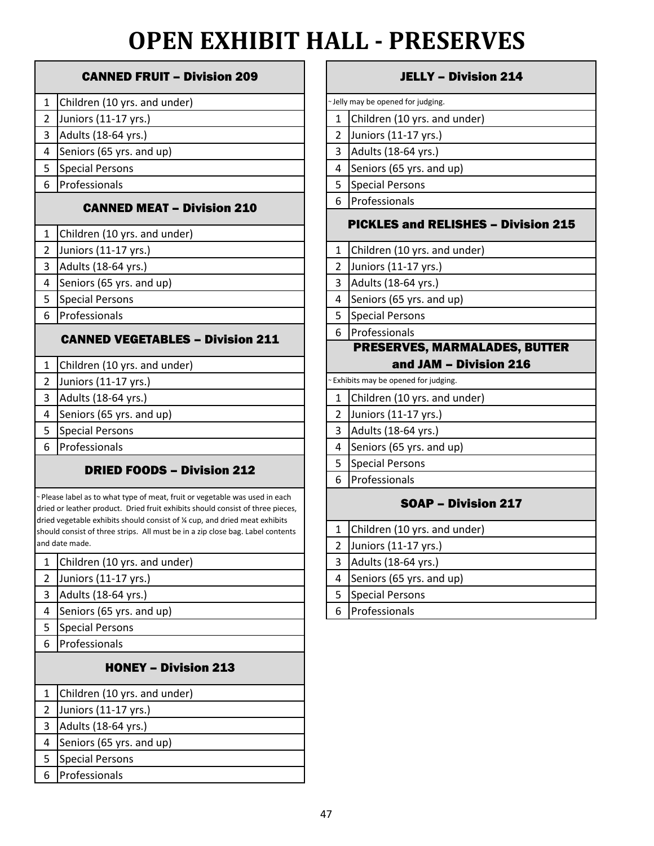# **OPEN EXHIBIT HALL - PRESERVES**

|                | <b>CANNED FRUIT - Division 209</b>                                                                                                                                                                                                         |                | JELLY -                           |
|----------------|--------------------------------------------------------------------------------------------------------------------------------------------------------------------------------------------------------------------------------------------|----------------|-----------------------------------|
| $\mathbf{1}$   | Children (10 yrs. and under)                                                                                                                                                                                                               |                | ~Jelly may be opened for judging. |
| $\overline{2}$ | Juniors (11-17 yrs.)                                                                                                                                                                                                                       | 1              | Children (10 yrs. an              |
| 3              | Adults (18-64 yrs.)                                                                                                                                                                                                                        | $\overline{2}$ | Juniors (11-17 yrs.)              |
| 4              | Seniors (65 yrs. and up)                                                                                                                                                                                                                   | 3              | Adults (18-64 yrs.)               |
| 5              | <b>Special Persons</b>                                                                                                                                                                                                                     | 4              | Seniors (65 yrs. and              |
| 6              | Professionals                                                                                                                                                                                                                              | 5              | <b>Special Persons</b>            |
|                | <b>CANNED MEAT - Division 210</b>                                                                                                                                                                                                          | 6              | Professionals                     |
| $\mathbf{1}$   | Children (10 yrs. and under)                                                                                                                                                                                                               |                | <b>PICKLES and RE</b>             |
| $\overline{2}$ | Juniors (11-17 yrs.)                                                                                                                                                                                                                       | 1              | Children (10 yrs. an              |
| 3              | Adults (18-64 yrs.)                                                                                                                                                                                                                        | $\overline{2}$ | Juniors (11-17 yrs.)              |
| 4              | Seniors (65 yrs. and up)                                                                                                                                                                                                                   | 3              | Adults (18-64 yrs.)               |
| 5              | <b>Special Persons</b>                                                                                                                                                                                                                     | 4              | Seniors (65 yrs. and              |
| 6              | Professionals                                                                                                                                                                                                                              | 5              | <b>Special Persons</b>            |
|                | <b>CANNED VEGETABLES - Division 211</b>                                                                                                                                                                                                    | 6              | Professionals                     |
|                |                                                                                                                                                                                                                                            |                | <b>PRESERVES, MA</b>              |
| $\mathbf{1}$   | Children (10 yrs. and under)                                                                                                                                                                                                               |                | and JAM                           |
| $\overline{2}$ | Juniors (11-17 yrs.)                                                                                                                                                                                                                       |                | Exhibits may be opened for judg   |
| 3              | Adults (18-64 yrs.)                                                                                                                                                                                                                        | $\mathbf{1}$   | Children (10 yrs. an              |
| 4              | Seniors (65 yrs. and up)                                                                                                                                                                                                                   | $\overline{2}$ | Juniors (11-17 yrs.)              |
| 5              | <b>Special Persons</b>                                                                                                                                                                                                                     | 3              | Adults (18-64 yrs.)               |
| 6              | Professionals                                                                                                                                                                                                                              | 4              | Seniors (65 yrs. and              |
|                | <b>DRIED FOODS - Division 212</b>                                                                                                                                                                                                          | 5              | <b>Special Persons</b>            |
|                |                                                                                                                                                                                                                                            | 6              | Professionals                     |
|                | ~ Please label as to what type of meat, fruit or vegetable was used in each<br>dried or leather product. Dried fruit exhibits should consist of three pieces,<br>dried vegetable exhibits should consist of % cup, and dried meat exhibits |                | SOAP-                             |
|                | should consist of three strips. All must be in a zip close bag. Label contents                                                                                                                                                             | $\mathbf{1}$   | Children (10 yrs. an              |
|                | and date made.                                                                                                                                                                                                                             | 2              | Juniors (11-17 yrs.)              |
| $\mathbf{1}$   | Children (10 yrs. and under)                                                                                                                                                                                                               | 3              | Adults (18-64 yrs.)               |
| $\overline{2}$ | Juniors (11-17 yrs.)                                                                                                                                                                                                                       | 4              | Seniors (65 yrs. and              |
| 3              | Adults (18-64 yrs.)                                                                                                                                                                                                                        | 5              | <b>Special Persons</b>            |
| 4              | Seniors (65 yrs. and up)                                                                                                                                                                                                                   | 6              | Professionals                     |
| 5              | <b>Special Persons</b>                                                                                                                                                                                                                     |                |                                   |
| 6              | Professionals                                                                                                                                                                                                                              |                |                                   |
|                |                                                                                                                                                                                                                                            |                |                                   |

### HONEY – Division 213

## 1 Children (10 yrs. and under)

- 2 Juniors (11-17 yrs.)
- 3 Adults (18-64 yrs.)
- 4 Seniors (65 yrs. and up)
- 5 Special Persons 6 Professionals

#### JELLY – Division 214

|              | ~ Jelly may be opened for judging.         |
|--------------|--------------------------------------------|
| 1            | Children (10 yrs. and under)               |
| 2            | Juniors (11-17 yrs.)                       |
| 3            | Adults (18-64 yrs.)                        |
| 4            | Seniors (65 yrs. and up)                   |
| 5            | <b>Special Persons</b>                     |
| 6            | Professionals                              |
|              | <b>PICKLES and RELISHES - Division 215</b> |
| 1            | Children (10 yrs. and under)               |
| 2            | Juniors (11-17 yrs.)                       |
| 3            | Adults (18-64 yrs.)                        |
| $\mathbf{A}$ | $Coniance (CF, we and in)$                 |

- 
- 4 Seniors (65 yrs. and up)
- 5 Special Persons
- 6 Professionals

#### PRESERVES, MARMALADES, BUTTER and JAM – Division 216

| ~ Exhibits may be opened for judging. |                              |  |  |
|---------------------------------------|------------------------------|--|--|
| 1                                     | Children (10 yrs. and under) |  |  |
| 2                                     | Juniors (11-17 yrs.)         |  |  |
| 3                                     | Adults (18-64 yrs.)          |  |  |
| 4                                     | Seniors (65 yrs. and up)     |  |  |
| 5                                     | <b>Special Persons</b>       |  |  |
|                                       | Professionals                |  |  |
|                                       |                              |  |  |

#### SOAP – Division 217

|                | 1 Children (10 yrs. and under) |
|----------------|--------------------------------|
|                | Juniors (11-17 yrs.)           |
| 3 <sup>1</sup> | Adults (18-64 yrs.)            |
|                | 4 Seniors (65 yrs. and up)     |
| 5.             | Special Persons                |
|                | Professionals                  |
|                |                                |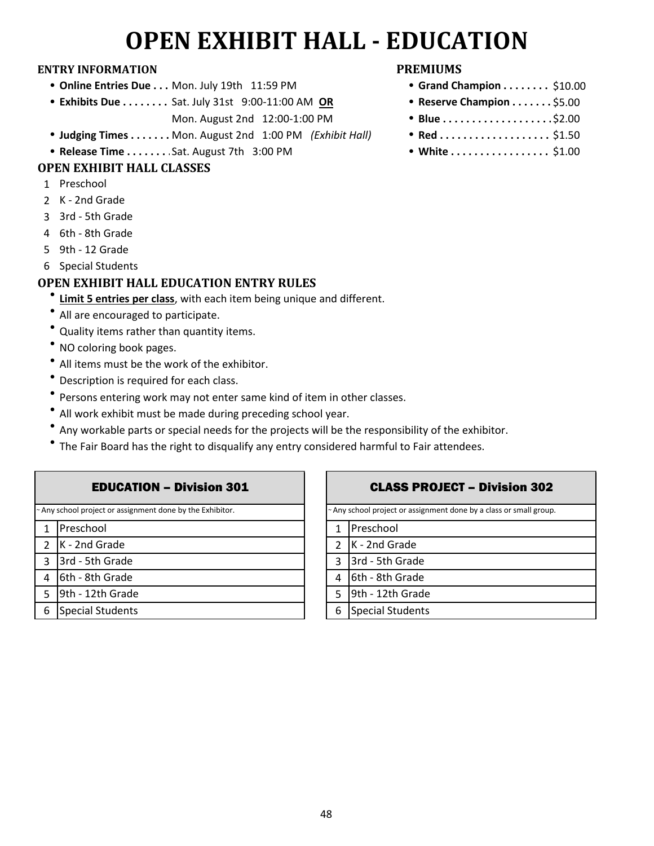## **OPEN EXHIBIT HALL - EDUCATION**

#### **ENTRY INFORMATION PREMIUMS**

- **Online Entries Due . . . Mon. July 19th 11:59 PM**
- **Exhibits Due . . . . . . . . Sat. July 31st 9:00-11:00 AM OR** Mon. August 2nd 12:00-1:00 PM
- **Judging Times . . . . . . . Mon. August 2nd 1:00 PM** *(Exhibit Hall)*
- **Release Time . . . . . . . . Sat. August 7th 3:00 PM**

#### **OPEN EXHIBIT HALL CLASSES**

- 1 Preschool
- 2 K 2nd Grade
- 3 3rd 5th Grade
- 4 6th 8th Grade
- 5 9th 12 Grade
- 6 Special Students

### **OPEN EXHIBIT HALL EDUCATION ENTRY RULES**

- **<u>Limit 5 entries per class</u>**, with each item being unique and different.
- All are encouraged to participate.
- Quality items rather than quantity items.
- NO coloring book pages.
- $\bullet$  All items must be the work of the exhibitor.
- $\bullet$ Description is required for each class.
- $\bullet$ Persons entering work may not enter same kind of item in other classes.
- $\bullet$ All work exhibit must be made during preceding school year.
- $\bullet$ Any workable parts or special needs for the projects will be the responsibility of the exhibitor.
- $\bullet$ The Fair Board has the right to disqualify any entry considered harmful to Fair attendees.

|               | <b>EDUCATION - Division 301</b>                           |                          |
|---------------|-----------------------------------------------------------|--------------------------|
|               | ~ Any school project or assignment done by the Exhibitor. | ~ Ar                     |
| 1             | Preschool                                                 | 1                        |
| $\mathcal{L}$ | K - 2nd Grade                                             | $\overline{\phantom{a}}$ |
| 3             | 3rd - 5th Grade                                           | 3                        |
| 4             | 6th - 8th Grade                                           | 4                        |
| 5             | 9th - 12th Grade                                          | 5                        |
| 6             | <b>Special Students</b>                                   | 6                        |
|               |                                                           |                          |

- $\bullet$  Grand Champion . . . . . . . . \$10.00
- **Reserve Champion . . . . . . . \$5.00**
- $\cdot$  Blue . . . . . . . . . . . . . . . . . . \$2.00
- $Red$ .................... \$1.50
- White ................. \$1.00

#### CLASS PROJECT – Division 302

 $6th - 8th$  Grade  $9th - 12th$  Grade 1 Preschool  $K - 2nd$  Grade  $3rd - 5th$  Grade Any school project or assignment done by a class or small group.

 $6$  Special Students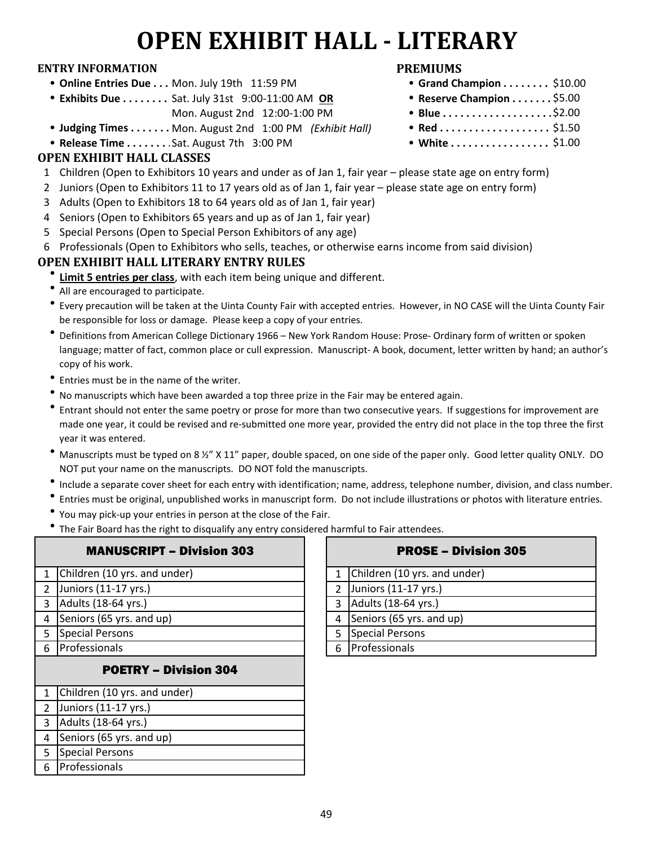# **OPEN EXHIBIT HALL - LITERARY**

#### **ENTRY INFORMATION PREMIUMS**

- **Online Entries Due . . . Mon. July 19th 11:59 PM**
- **Exhibits Due . . . . . . . . Sat. July 31st 9:00-11:00 AM OR** Mon. August 2nd 12:00-1:00 PM
- **Judging Times . . . . . . . Mon.** August 2nd 1:00 PM *(Exhibit Hall)*
- **Release Time . . . . . . . . Sat. August 7th 3:00 PM**

#### **OPEN EXHIBIT HALL CLASSES**

- 1 Children (Open to Exhibitors 10 years and under as of Jan 1, fair year please state age on entry form)
- 2 Juniors (Open to Exhibitors 11 to 17 years old as of Jan 1, fair year please state age on entry form)
- 3 Adults (Open to Exhibitors 18 to 64 years old as of Jan 1, fair year)
- 4 Seniors (Open to Exhibitors 65 years and up as of Jan 1, fair year)
- 5 Special Persons (Open to Special Person Exhibitors of any age)
- 6 Professionals (Open to Exhibitors who sells, teaches, or otherwise earns income from said division)

#### **OPEN EXHIBIT HALL LITERARY ENTRY RULES**

- $\bullet$ **Limit 5 entries per class**, with each item being unique and different.
- All are encouraged to participate.
- l Every precaution will be taken at the Uinta County Fair with accepted entries. However, in NO CASE will the Uinta County Fair be responsible for loss or damage. Please keep a copy of your entries.
- $\bullet$ Definitions from American College Dictionary 1966 – New York Random House: Prose- Ordinary form of written or spoken language; matter of fact, common place or cull expression. Manuscript- A book, document, letter written by hand; an author's copy of his work.
- l Entries must be in the name of the writer.
- <sup>l</sup> No manuscripts which have been awarded a top three prize in the Fair may be entered again.
- $\bullet$ Entrant should not enter the same poetry or prose for more than two consecutive years. If suggestions for improvement are made one year, it could be revised and re-submitted one more year, provided the entry did not place in the top three the first year it was entered.
- Manuscripts must be typed on 8 ½" X 11" paper, double spaced, on one side of the paper only. Good letter quality ONLY. DO NOT put your name on the manuscripts. DO NOT fold the manuscripts.
- $\bullet$ Include a separate cover sheet for each entry with identification; name, address, telephone number, division, and class number.
- $\bullet$ Entries must be original, unpublished works in manuscript form. Do not include illustrations or photos with literature entries.
- You may pick-up your entries in person at the close of the Fair.
- $\bullet$ The Fair Board has the right to disqualify any entry considered harmful to Fair attendees.

| <b>MANUSCRIPT - Division 303</b> |   | <b>PROSE - Divisi</b>        |
|----------------------------------|---|------------------------------|
| Children (10 yrs. and under)     | 1 | Children (10 yrs. and under) |
| Juniors (11-17 yrs.)             | 2 | Juniors (11-17 yrs.)         |
| Adults (18-64 yrs.)              | 3 | Adults (18-64 yrs.)          |
| Seniors (65 yrs. and up)         | 4 | Seniors (65 yrs. and up)     |
| <b>Special Persons</b>           | 5 | <b>Special Persons</b>       |
| Professionals                    | 6 | Professionals                |
| <b>POETRY - Division 304</b>     |   |                              |
| Children (10 yrs. and under)     |   |                              |
| Juniors (11-17 yrs.)             |   |                              |
| Adults (18-64 yrs.)              |   |                              |
| Seniors (65 yrs. and up)         |   |                              |
| <b>Special Persons</b>           |   |                              |
| Professionals                    |   |                              |
|                                  |   |                              |

|                | <b>PROSE - Division 305</b>  |
|----------------|------------------------------|
| $\mathbf{1}$   | Children (10 yrs. and under) |
| $\overline{2}$ | Juniors (11-17 yrs.)         |
| 3              | Adults (18-64 yrs.)          |
| 4              | Seniors (65 yrs. and up)     |
| 5.             | Special Persons              |
|                | Professionals                |

- **Grand Champion ........** \$10.00
- Reserve Champion . . . . . . . \$5.00  $\bullet$  Blue...................\$2.00
- Red . . . . . . . . . . . . . . . . . . \$1.50
- White  $\ldots \ldots \ldots \ldots \ldots$  \$1.00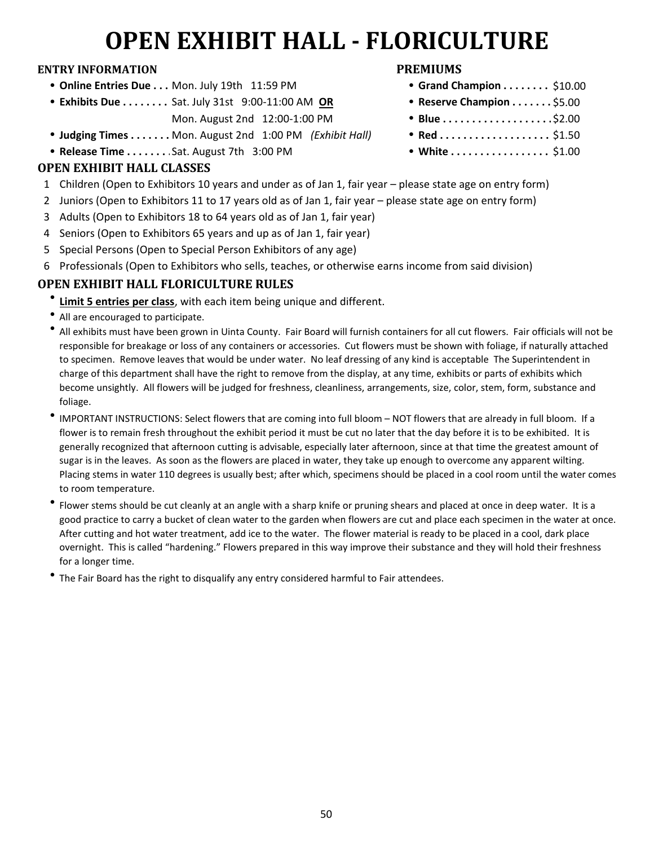# **OPEN EXHIBIT HALL - FLORICULTURE**

#### **ENTRY INFORMATION PREMIUMS**

- **Online Entries Due . . . Mon. July 19th 11:59 PM**
- **Exhibits Due . . . . . . . . Sat. July 31st 9:00-11:00 AM OR** Mon. August 2nd 12:00-1:00 PM
- **Judging Times . . . . . . . Mon. August 2nd 1:00 PM** *(Exhibit Hall)*
- **Release Time . . . . . . . . Sat. August 7th 3:00 PM**

### **OPEN EXHIBIT HALL CLASSES**

- 1 Children (Open to Exhibitors 10 years and under as of Jan 1, fair year please state age on entry form)
- 2 Juniors (Open to Exhibitors 11 to 17 years old as of Jan 1, fair year please state age on entry form)
- 3 Adults (Open to Exhibitors 18 to 64 years old as of Jan 1, fair year)
- 4 Seniors (Open to Exhibitors 65 years and up as of Jan 1, fair year)
- 5 Special Persons (Open to Special Person Exhibitors of any age)
- 6 Professionals (Open to Exhibitors who sells, teaches, or otherwise earns income from said division)

## **OPEN EXHIBIT HALL FLORICULTURE RULES**

- $\bullet$ **Limit 5 entries per class**, with each item being unique and different.
- All are encouraged to participate.
- $\bullet$ All exhibits must have been grown in Uinta County. Fair Board will furnish containers for all cut flowers. Fair officials will not be responsible for breakage or loss of any containers or accessories. Cut flowers must be shown with foliage, if naturally attached to specimen. Remove leaves that would be under water. No leaf dressing of any kind is acceptable The Superintendent in charge of this department shall have the right to remove from the display, at any time, exhibits or parts of exhibits which become unsightly. All flowers will be judged for freshness, cleanliness, arrangements, size, color, stem, form, substance and foliage.
- $\bullet$ IMPORTANT INSTRUCTIONS: Select flowers that are coming into full bloom – NOT flowers that are already in full bloom. If a flower is to remain fresh throughout the exhibit period it must be cut no later that the day before it is to be exhibited. It is generally recognized that afternoon cutting is advisable, especially later afternoon, since at that time the greatest amount of sugar is in the leaves. As soon as the flowers are placed in water, they take up enough to overcome any apparent wilting. Placing stems in water 110 degrees is usually best; after which, specimens should be placed in a cool room until the water comes to room temperature.
- $\bullet$ Flower stems should be cut cleanly at an angle with a sharp knife or pruning shears and placed at once in deep water. It is a good practice to carry a bucket of clean water to the garden when flowers are cut and place each specimen in the water at once. After cutting and hot water treatment, add ice to the water. The flower material is ready to be placed in a cool, dark place overnight. This is called "hardening." Flowers prepared in this way improve their substance and they will hold their freshness for a longer time.
- The Fair Board has the right to disqualify any entry considered harmful to Fair attendees.

- $\bullet$  Grand Champion . . . . . . . . \$10.00
- Reserve Champion . . . . . . . \$5.00
- \$2.00
- $Red$ .................... \$1.50
- White  $\ldots \ldots \ldots \ldots \ldots$  \$1.00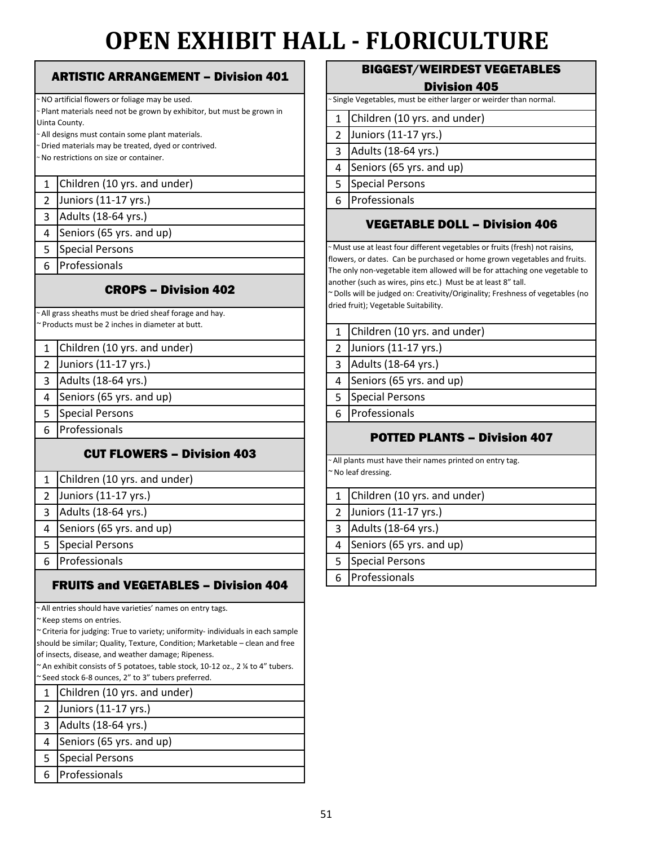# **OPEN EXHIBIT HALL - FLORICULTURE**

#### 1 Children (10 yrs. and under) November 1 Superintent Children Persons 2 6 Juniors (11-17 yrs.) Professionals 3 4 5 6 1 2 Children (10 yrs. and under) 2 3 Juniors (11-17 yrs.) 3 4 Adults (18-64 yrs.) 4 5 Seniors (65 yrs. and up) 5 Special Persons and the set of the set of the set of the set of the set of the set of the set of the set of the set of the set of the set of the set of the set of the set of the set of the set of the set of the set of th 6 1 2 1 Juniors (11-17 yrs.) 3 2 Adults (18-64 yrs.) 4 3 Seniors (65 yrs. and up) 5 4 Special Persons 6 Professionals **Secure 2 Special Persons Special Persons** 1 Children (10 yrs. and under) ~ NO artificial flowers or foliage may be used. ~ Plant materials need not be grown by exhibitor, but must be grown in Uinta County. ~ All designs must contain some plant materials. ~ Dried materials may be treated, dyed or contrived. ~ No restrictions on size or container. ~ All grass sheaths must be dried sheaf forage and hay. ~ Products must be 2 inches in diameter at butt. **FRUITS and VEGETABLES – Division 404** Children (10 yrs. and under) ~ All entries should have varieties' names on entry tags. ~ Keep stems on entries. ~ Criteria for judging: True to variety; uniformity- individuals in each sample should be similar; Quality, Texture, Condition; Marketable – clean and free of insects, disease, and weather damage; Ripeness. An exhibit consists of 5 potatoes, table stock, 10-12 oz., 2 % to 4" tubers. Seed stock 6-8 ounces, 2" to 3" tubers preferred. CUT FLOWERS – Division 403 Special Persons Professionals Adults (18-64 yrs.) Seniors (65 yrs. and up) Professionals ARTISTIC ARRANGEMENT – Division 401 CROPS – Division 402

- 2 Juniors (11-17 yrs.)
- 3 Adults (18-64 yrs.)
- 4 Seniors (65 yrs. and up)
- 5 Special Persons
- 6 Professionals

## BIGGEST/WEIRDEST VEGETABLES

#### Division 405

Single Vegetables, must be either larger or weirder than normal.

- 1 2 3 Children (10 yrs. and under) Juniors (11-17 yrs.) Adults (18-64 yrs.)
- 4 Seniors (65 yrs. and up)
- 

### VEGETABLE DOLL – Division 406

Must use at least four different vegetables or fruits (fresh) not raisins, flowers, or dates. Can be purchased or home grown vegetables and fruits. The only non-vegetable item allowed will be for attaching one vegetable to another (such as wires, pins etc.) Must be at least 8" tall.

~ Dolls will be judged on: Creativity/Originality; Freshness of vegetables (no dried fruit); Vegetable Suitability.

|  | 1 Children (10 yrs. and under) |
|--|--------------------------------|
|  |                                |

Juniors (11-17 yrs.)

Adults (18-64 yrs.)

Seniors (65 yrs. and up)

Special Persons

**Professionals** 

## POTTED PLANTS – Division 407

All plants must have their names printed on entry tag. ~No leaf dressing.

|   | 1 Children (10 yrs. and under) |
|---|--------------------------------|
|   | 2 Juniors (11-17 yrs.)         |
|   | 3 Adults (18-64 yrs.)          |
|   | 4 Seniors (65 yrs. and up)     |
| 5 | <b>Special Persons</b>         |
|   | 6 Professionals                |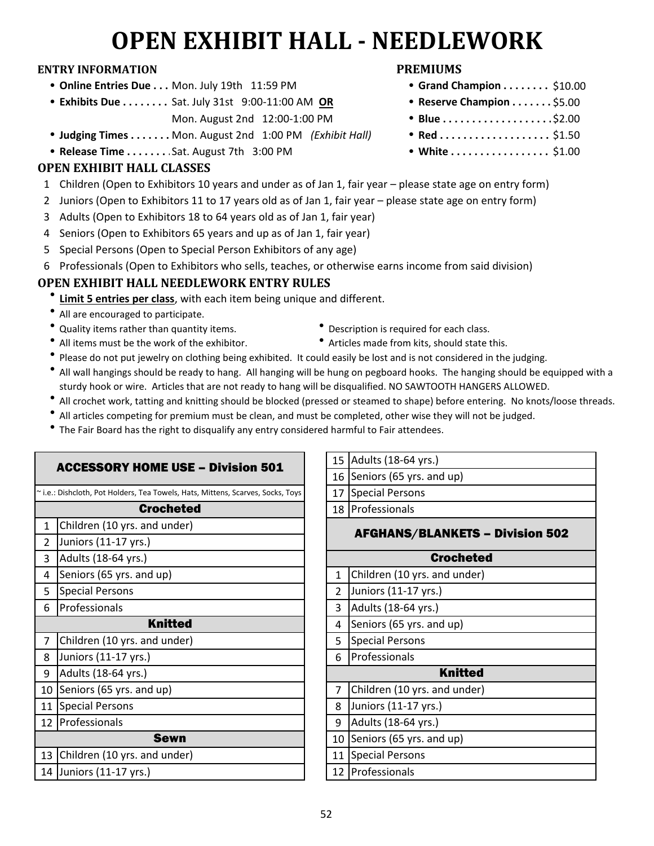# **OPEN EXHIBIT HALL - NEEDLEWORK**

#### **ENTRY INFORMATION PREMIUMS**

- **Online Entries Due . . . Mon. July 19th 11:59 PM**
- **Exhibits Due . . . . . . . . Sat. July 31st 9:00-11:00 AM OR** 
	- Mon. August 2nd 12:00-1:00 PM
- **Judging Times . . . . . . . Mon. August 2nd 1:00 PM** *(Exhibit Hall)*
- **Release Time . . . . . . . . Sat. August 7th 3:00 PM**

### **OPEN EXHIBIT HALL CLASSES**

- 1 Children (Open to Exhibitors 10 years and under as of Jan 1, fair year please state age on entry form)
- 2 Juniors (Open to Exhibitors 11 to 17 years old as of Jan 1, fair year please state age on entry form)
- 3 Adults (Open to Exhibitors 18 to 64 years old as of Jan 1, fair year)
- 4 Seniors (Open to Exhibitors 65 years and up as of Jan 1, fair year)
- 5 Special Persons (Open to Special Person Exhibitors of any age)
- 6 Professionals (Open to Exhibitors who sells, teaches, or otherwise earns income from said division)

## **OPEN EXHIBIT HALL NEEDLEWORK ENTRY RULES**

- $\bullet$ **Limit 5 entries per class**, with each item being unique and different.
- All are encouraged to participate.
- Quality items rather than quantity items. **example 3** Description is required for each class.
- 
- 
- All items must be the work of the exhibitor. **Come that the exhibition of a Articles made from kits, should state this.**
- $\bullet$ Please do not put jewelry on clothing being exhibited. It could easily be lost and is not considered in the judging.
- l All wall hangings should be ready to hang. All hanging will be hung on pegboard hooks. The hanging should be equipped with a sturdy hook or wire. Articles that are not ready to hang will be disqualified. NO SAWTOOTH HANGERS ALLOWED.
- All crochet work, tatting and knitting should be blocked (pressed or steamed to shape) before entering. No knots/loose threads.
- All articles competing for premium must be clean, and must be completed, other wise they will not be judged.
- The Fair Board has the right to disqualify any entry considered harmful to Fair attendees.

| <b>ACCESSORY HOME USE - Division 501</b><br>~ i.e.: Dishcloth, Pot Holders, Tea Towels, Hats, Mittens, Scarves, Socks, Toys | 16<br>17       |
|-----------------------------------------------------------------------------------------------------------------------------|----------------|
|                                                                                                                             |                |
|                                                                                                                             |                |
| <b>Crocheted</b>                                                                                                            | 18             |
| Children (10 yrs. and under)<br>1                                                                                           |                |
| Juniors (11-17 yrs.)<br>$\mathfrak{p}$                                                                                      |                |
| Adults (18-64 yrs.)<br>3                                                                                                    |                |
| Seniors (65 yrs. and up)<br>4                                                                                               | 1              |
| <b>Special Persons</b><br>5                                                                                                 | 2              |
| Professionals<br>6                                                                                                          | 3              |
| <b>Knitted</b>                                                                                                              | 4              |
| Children (10 yrs. and under)<br>7                                                                                           | 5              |
| Juniors (11-17 yrs.)<br>8                                                                                                   | 6              |
| Adults (18-64 yrs.)<br>9                                                                                                    |                |
| Seniors (65 yrs. and up)<br>10                                                                                              | $\overline{7}$ |
| <b>Special Persons</b><br>11                                                                                                | 8              |
| 12 Professionals                                                                                                            | 9              |
| Sewn                                                                                                                        | 10             |
| Children (10 yrs. and under)<br>13                                                                                          | 11             |
| 14 Juniors (11-17 yrs.)                                                                                                     | 12             |

| 15                                     | Adults (18-64 yrs.)          |  |
|----------------------------------------|------------------------------|--|
| 16                                     | Seniors (65 yrs. and up)     |  |
| 17                                     | <b>Special Persons</b>       |  |
| 18                                     | Professionals                |  |
| <b>AFGHANS/BLANKETS - Division 502</b> |                              |  |
|                                        | <b>Crocheted</b>             |  |
| 1                                      | Children (10 yrs. and under) |  |
| 2                                      | Juniors (11-17 yrs.)         |  |
| 3                                      | Adults (18-64 yrs.)          |  |
| 4                                      | Seniors (65 yrs. and up)     |  |
| 5                                      | <b>Special Persons</b>       |  |
| 6                                      | Professionals                |  |
|                                        | <b>Knitted</b>               |  |
| 7                                      | Children (10 yrs. and under) |  |
| 8                                      | Juniors (11-17 yrs.)         |  |
| 9                                      | Adults (18-64 yrs.)          |  |
| 10                                     | Seniors (65 yrs. and up)     |  |
| 11                                     | <b>Special Persons</b>       |  |
|                                        | 12 Professionals             |  |

- - $\bullet$  Grand Champion . . . . . . . . \$10.00
	- Reserve Champion . . . . . . . \$5.00
	- \$2.00
	- $Red$ .................... \$1.50
	- White ................. \$1.00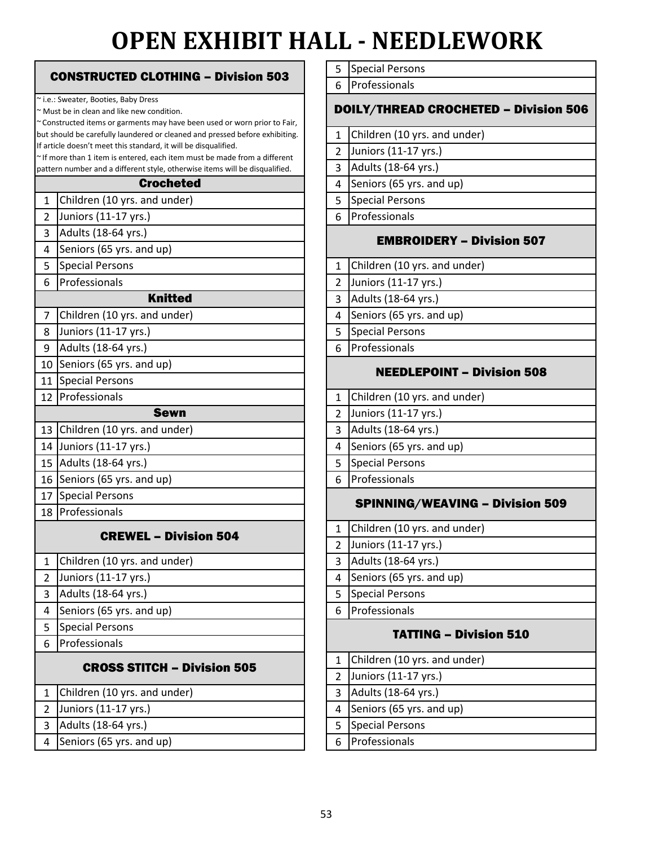# **OPEN EXHIBIT HALL - NEEDLEWORK**

|                | <b>CONSTRUCTED CLOTHING - Division 503</b>                                                                              |
|----------------|-------------------------------------------------------------------------------------------------------------------------|
|                |                                                                                                                         |
|                | ~ i.e.: Sweater, Booties, Baby Dress                                                                                    |
|                | ~ Must be in clean and like new condition.<br>~ Constructed items or garments may have been used or worn prior to Fair, |
|                | but should be carefully laundered or cleaned and pressed before exhibiting.                                             |
|                | If article doesn't meet this standard, it will be disqualified.                                                         |
|                | $\sim$ If more than 1 item is entered, each item must be made from a different                                          |
|                | pattern number and a different style, otherwise items will be disqualified.<br><b>Crocheted</b>                         |
| $\mathbf{1}$   | Children (10 yrs. and under)                                                                                            |
| $\overline{2}$ | Juniors (11-17 yrs.)                                                                                                    |
| 3              | Adults (18-64 yrs.)                                                                                                     |
| 4              | Seniors (65 yrs. and up)                                                                                                |
| 5              | <b>Special Persons</b>                                                                                                  |
| 6              | Professionals                                                                                                           |
|                | <b>Knitted</b>                                                                                                          |
| 7              | Children (10 yrs. and under)                                                                                            |
| 8              | Juniors (11-17 yrs.)                                                                                                    |
| 9              | Adults (18-64 yrs.)                                                                                                     |
| 10             | Seniors (65 yrs. and up)                                                                                                |
| 11             | <b>Special Persons</b>                                                                                                  |
| 12             | Professionals                                                                                                           |
|                | <b>Sewn</b>                                                                                                             |
| 13             | Children (10 yrs. and under)                                                                                            |
| 14             | Juniors (11-17 yrs.)                                                                                                    |
| 15             | Adults (18-64 yrs.)                                                                                                     |
| 16             | Seniors (65 yrs. and up)                                                                                                |
| 17             | <b>Special Persons</b>                                                                                                  |
| 18             | Professionals                                                                                                           |
|                | <b>CREWEL - Division 504</b>                                                                                            |
|                |                                                                                                                         |
| $\mathbf{1}$   | Children (10 yrs. and under)                                                                                            |
| $\overline{2}$ | Juniors (11-17 yrs.)                                                                                                    |
| 3              | Adults (18-64 yrs.)                                                                                                     |
| 4              | Seniors (65 yrs. and up)                                                                                                |
| 5              | <b>Special Persons</b>                                                                                                  |
| 6              | Professionals                                                                                                           |
|                | <b>CROSS STITCH - Division 505</b>                                                                                      |
|                |                                                                                                                         |
| $\mathbf{1}$   | Children (10 yrs. and under)                                                                                            |
| 2              | Juniors (11-17 yrs.)                                                                                                    |
| 3              | Adults (18-64 yrs.)                                                                                                     |
| 4              | Seniors (65 yrs. and up)                                                                                                |

| 5 Special Persons |
|-------------------|
|-------------------|

6 Professionals

#### DOILY/THREAD CROCHETED – Division 506

- 1 Children (10 yrs. and under)
- 2 Juniors (11-17 yrs.)
- 3 Adults (18-64 yrs.)

4 Seniors (65 yrs. and up)

- 5 Special Persons
- Professionals

#### EMBROIDERY – Division 507

| 1 Children (10 yrs. and under) |  |
|--------------------------------|--|
|--------------------------------|--|

- Juniors (11-17 yrs.)
- 3 Adults (18-64 yrs.)
- 4 Seniors (65 yrs. and up)
- 5 Special Persons
- Professionals

#### NEEDLEPOINT – Division 508

2 Juniors (11-17 yrs.) Professionals 4 Seniors (65 yrs. and up) Adults (18-64 yrs.) 5 Special Persons 1 Children (10 yrs. and under)

#### SPINNING/WEAVING – Division 509

| 1 Children (10 yrs. and under) |
|--------------------------------|
| 2 Juniors (11-17 yrs.)         |

- Adults (18-64 yrs.)
- 
- 4 Seniors (65 yrs. and up)
- 5 Special Persons
- Professionals

#### TATTING – Division 510

|   | 1 Children (10 yrs. and under) |
|---|--------------------------------|
|   | Juniors (11-17 yrs.)           |
| 3 | Adults (18-64 yrs.)            |
| 4 | Seniors (65 yrs. and up)       |
|   | <b>Special Persons</b>         |
|   | Professionals                  |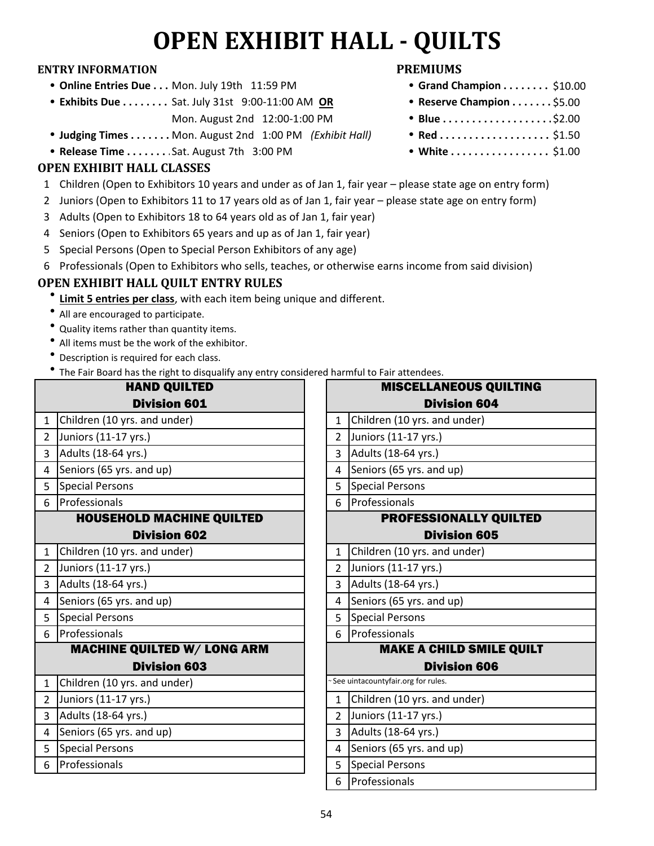# **OPEN EXHIBIT HALL - QUILTS**

#### **ENTRY INFORMATION PREMIUMS**

- **Online Entries Due . . . Mon. July 19th 11:59 PM**
- **Exhibits Due . . . . . . . . Sat. July 31st 9:00-11:00 AM OR** 
	- Mon. August 2nd 12:00-1:00 PM
- **Judging Times . . . . . . . Mon. August 2nd 1:00 PM** *(Exhibit Hall)*
- **Release Time . . . . . . . . Sat. August 7th 3:00 PM**

### **OPEN EXHIBIT HALL CLASSES**

- 1 Children (Open to Exhibitors 10 years and under as of Jan 1, fair year please state age on entry form)
- 2 Juniors (Open to Exhibitors 11 to 17 years old as of Jan 1, fair year please state age on entry form)
- 3 Adults (Open to Exhibitors 18 to 64 years old as of Jan 1, fair year)
- 4 Seniors (Open to Exhibitors 65 years and up as of Jan 1, fair year)
- 5 Special Persons (Open to Special Person Exhibitors of any age)
- 6 Professionals (Open to Exhibitors who sells, teaches, or otherwise earns income from said division)

## **OPEN EXHIBIT HALL QUILT ENTRY RULES**

- **<u>Limit 5 entries per class</u>**, with each item being unique and different.
- All are encouraged to participate.
- Quality items rather than quantity items.
- All items must be the work of the exhibitor.
- Description is required for each class.
- The Fair Board has the right to disqualify any entry considered harmful to Fair attendees.

|                | <b>HAND QUILTED</b>                |                | <b>MISCELLANEOUS QUILTING</b>       |
|----------------|------------------------------------|----------------|-------------------------------------|
|                | <b>Division 601</b>                |                | <b>Division 604</b>                 |
| $\mathbf{1}$   | Children (10 yrs. and under)       | $\mathbf{1}$   | Children (10 yrs. and under)        |
| $\overline{2}$ | Juniors (11-17 yrs.)               | $\overline{2}$ | Juniors (11-17 yrs.)                |
| 3              | Adults (18-64 yrs.)                | 3              | Adults (18-64 yrs.)                 |
| 4              | Seniors (65 yrs. and up)           | 4              | Seniors (65 yrs. and up)            |
| 5              | <b>Special Persons</b>             | 5              | <b>Special Persons</b>              |
| 6              | Professionals                      | 6              | Professionals                       |
|                | <b>HOUSEHOLD MACHINE QUILTED</b>   |                | <b>PROFESSIONALLY QUILTED</b>       |
|                | <b>Division 602</b>                |                | <b>Division 605</b>                 |
| $\mathbf{1}$   | Children (10 yrs. and under)       | $\mathbf{1}$   | Children (10 yrs. and under)        |
| $\overline{2}$ | Juniors (11-17 yrs.)               | $\overline{2}$ | Juniors (11-17 yrs.)                |
| 3              | Adults (18-64 yrs.)                | $\overline{3}$ | Adults (18-64 yrs.)                 |
| 4              | Seniors (65 yrs. and up)           | 4              | Seniors (65 yrs. and up)            |
| 5              | <b>Special Persons</b>             | 5              | Special Persons                     |
| 6              | Professionals                      | 6              | Professionals                       |
|                | <b>MACHINE QUILTED W/ LONG ARM</b> |                | <b>MAKE A CHILD SMILE QUILT</b>     |
|                | <b>Division 603</b>                |                | <b>Division 606</b>                 |
| $\mathbf{1}$   | Children (10 yrs. and under)       |                | ~See uintacountyfair.org for rules. |
| $\overline{2}$ | Juniors (11-17 yrs.)               | $\mathbf{1}$   | Children (10 yrs. and under)        |
| 3              | Adults (18-64 yrs.)                | 2 <sup>1</sup> | Juniors (11-17 yrs.)                |
| $\overline{4}$ | Seniors (65 yrs. and up)           | 3              | Adults (18-64 yrs.)                 |
| 5              | Special Persons                    | 4              | Seniors (65 yrs. and up)            |
| 6              | Professionals                      | 5              | <b>Special Persons</b>              |
|                |                                    | 6              | Professionals                       |

- $\bullet$  Grand Champion . . . . . . . . \$10.00
- Reserve Champion . . . . . . . \$5.00
- \$2.00
- $Red$ .................... \$1.50
- White ................. \$1.00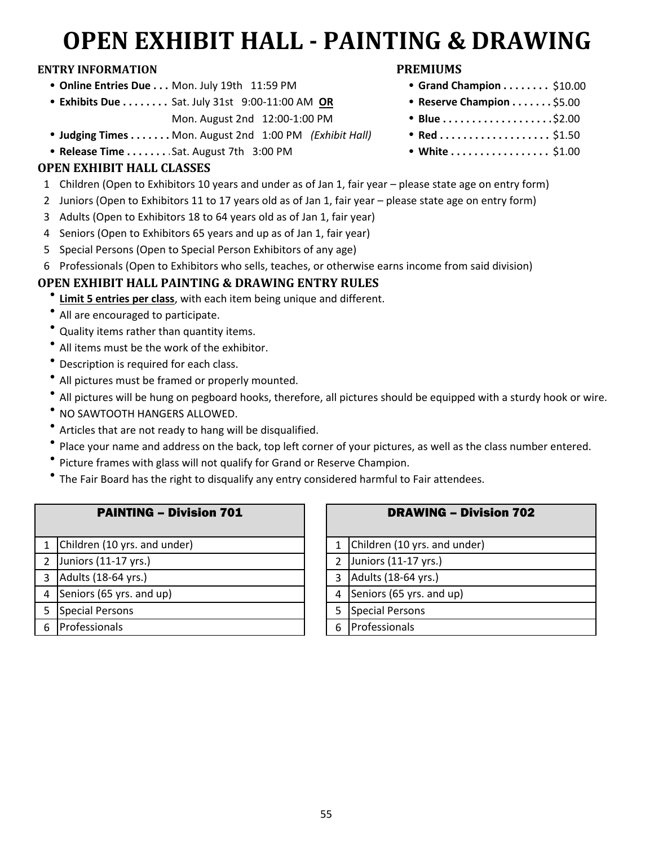# **OPEN EXHIBIT HALL - PAINTING & DRAWING**

#### **ENTRY INFORMATION PREMIUMS**

- **Online Entries Due . . . Mon. July 19th 11:59 PM**
- **Exhibits Due . . . . . . . . Sat. July 31st 9:00-11:00 AM OR** 
	- Mon. August 2nd 12:00-1:00 PM
- **Judging Times . . . . . . . Mon. August 2nd 1:00 PM** *(Exhibit Hall)*
- **Release Time . . . . . . . . Sat. August 7th 3:00 PM**

### **OPEN EXHIBIT HALL CLASSES**

- 1 Children (Open to Exhibitors 10 years and under as of Jan 1, fair year please state age on entry form)
- 2 Juniors (Open to Exhibitors 11 to 17 years old as of Jan 1, fair year please state age on entry form)
- 3 Adults (Open to Exhibitors 18 to 64 years old as of Jan 1, fair year)
- 4 Seniors (Open to Exhibitors 65 years and up as of Jan 1, fair year)
- 5 Special Persons (Open to Special Person Exhibitors of any age)
- 6 Professionals (Open to Exhibitors who sells, teaches, or otherwise earns income from said division)

### **OPEN EXHIBIT HALL PAINTING & DRAWING ENTRY RULES**

- **<u>Limit 5 entries per class</u>**, with each item being unique and different.
- All are encouraged to participate.
- Quality items rather than quantity items.
- $\bullet$  All items must be the work of the exhibitor.
- $\bullet$ Description is required for each class.
- $\bullet$ All pictures must be framed or properly mounted.
- $\bullet$ All pictures will be hung on pegboard hooks, therefore, all pictures should be equipped with a sturdy hook or wire.
- NO SAWTOOTH HANGERS ALLOWED.
- $\bullet$ Articles that are not ready to hang will be disqualified.
- $\bullet$ Place your name and address on the back, top left corner of your pictures, as well as the class number entered.
- $\bullet$ Picture frames with glass will not qualify for Grand or Reserve Champion.
- $\bullet$ The Fair Board has the right to disqualify any entry considered harmful to Fair attendees.

| <b>PAINTING - Division 701</b> |  |
|--------------------------------|--|
|--------------------------------|--|

| 1 Children (10 yrs. and under)   |   |
|----------------------------------|---|
| 2 Juniors $(11-17 \text{ yrs.})$ |   |
| 3 Adults (18-64 yrs.)            | 3 |
| 4 Seniors (65 yrs. and up)       |   |
| Special Persons                  | 5 |
| Professionals                    |   |
|                                  |   |

|               | <b>DRAWING - Division 702</b> |
|---------------|-------------------------------|
| $\mathbf{1}$  | Children (10 yrs. and under)  |
| $\mathcal{P}$ | Juniors (11-17 yrs.)          |
| 3             | Adults (18-64 yrs.)           |
| 4             | Seniors (65 yrs. and up)      |
| 5             | <b>Special Persons</b>        |
|               | Professionals                 |

- $\bullet$  Grand Champion . . . . . . . . \$10.00
- Reserve Champion . . . . . . . \$5.00
- \$2.00
- $Red$ .................... \$1.50
- White ................. \$1.00